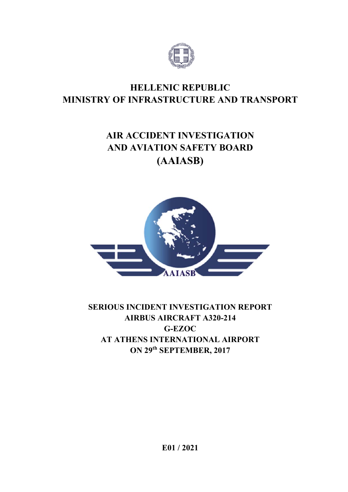

## **HELLENIC REPUBLIC MINISTRY OF INFRASTRUCTURE AND TRANSPORT**

# **AIR ACCIDENT INVESTIGATION AND AVIATION SAFETY BOARD (AAIASB)**



## **SERIOUS INCIDENT INVESTIGATION REPORT AIRBUS AIRCRAFT A320-214 G-EZOC AT ATHENS INTERNATIONAL AIRPORT ON 29th SEPTEMBER, 2017**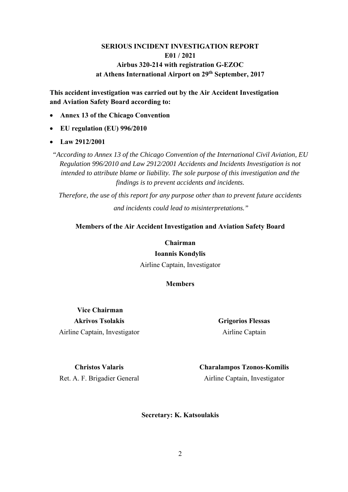## **SERIOUS INCIDENT INVESTIGATION REPORT E01 / 2021 Airbus 320-214 with registration G-EZOC at Athens International Airport on 29th September, 2017**

**This accident investigation was carried out by the Air Accident Investigation and Aviation Safety Board according to:** 

- **Annex 13 of the Chicago Convention**
- **EU regulation (EU) 996/2010**
- **Law 2912/2001**

*"According to Annex 13 of the Chicago Convention of the International Civil Aviation, EU Regulation 996/2010 and Law 2912/2001 Accidents and Incidents Investigation is not intended to attribute blame or liability. The sole purpose of this investigation and the findings is to prevent accidents and incidents.* 

*Therefore, the use of this report for any purpose other than to prevent future accidents and incidents could lead to misinterpretations."* 

#### **Members of the Air Accident Investigation and Aviation Safety Board**

#### **Chairman**

#### **Ioannis Kondylis**

Airline Captain, Investigator

**Members** 

 **Vice Chairman Akrivos Tsolakis**  Airline Captain, Investigator

**Grigorios Flessas**  Airline Captain

**Christos Valaris** 

Ret. A. F. Brigadier General

**Charalampos Tzonos-Komilis**  Airline Captain, Investigator

**Secretary: K. Katsoulakis**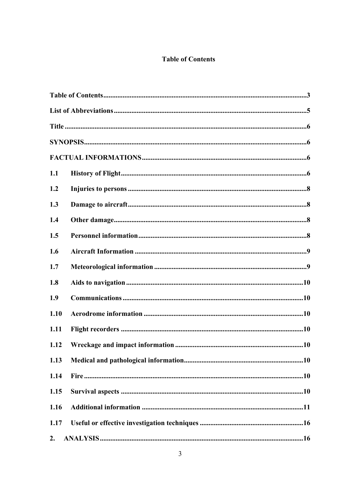## **Table of Contents**

| 1.1  |  |
|------|--|
| 1.2  |  |
| 1.3  |  |
| 1.4  |  |
| 1.5  |  |
| 1.6  |  |
| 1.7  |  |
| 1.8  |  |
| 1.9  |  |
| 1.10 |  |
| 1.11 |  |
| 1.12 |  |
| 1.13 |  |
| 1.14 |  |
| 1.15 |  |
| 1.16 |  |
| 1.17 |  |
| 2.   |  |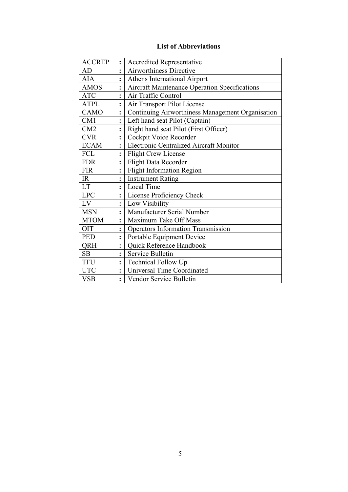## **List of Abbreviations**

| <b>ACCREP</b> | $\ddot{\cdot}$ | <b>Accredited Representative</b>                     |
|---------------|----------------|------------------------------------------------------|
| AD            | $\ddot{\cdot}$ | <b>Airworthiness Directive</b>                       |
| AIA           | $\ddot{\cdot}$ | Athens International Airport                         |
| <b>AMOS</b>   |                | <b>Aircraft Maintenance Operation Specifications</b> |
| <b>ATC</b>    | ٠              | Air Traffic Control                                  |
| <b>ATPL</b>   | $\ddot{\cdot}$ | Air Transport Pilot License                          |
| <b>CAMO</b>   | $\ddot{\cdot}$ | Continuing Airworthiness Management Organisation     |
| CM1           | $\ddot{\cdot}$ | Left hand seat Pilot (Captain)                       |
| CM2           | $\ddot{\cdot}$ | Right hand seat Pilot (First Officer)                |
| <b>CVR</b>    | $\ddot{\cdot}$ | Cockpit Voice Recorder                               |
| <b>ECAM</b>   | $\ddot{\cdot}$ | <b>Electronic Centralized Aircraft Monitor</b>       |
| <b>FCL</b>    | $\ddot{\cdot}$ | <b>Flight Crew License</b>                           |
| <b>FDR</b>    | $\ddot{\cdot}$ | Flight Data Recorder                                 |
| <b>FIR</b>    | $\ddot{\cdot}$ | <b>Flight Information Region</b>                     |
| IR            | $\ddot{\cdot}$ | <b>Instrument Rating</b>                             |
| LT            | $\ddot{\cdot}$ | Local Time                                           |
| <b>LPC</b>    | $\ddot{\cdot}$ | License Proficiency Check                            |
| LV            | $\ddot{\cdot}$ | Low Visibility                                       |
| <b>MSN</b>    | $\ddot{\cdot}$ | Manufacturer Serial Number                           |
| <b>MTOM</b>   | $\ddot{\cdot}$ | Maximum Take Off Mass                                |
| <b>OIT</b>    | $\ddot{\cdot}$ | <b>Operators Information Transmission</b>            |
| <b>PED</b>    | $\ddot{\cdot}$ | Portable Equipment Device                            |
| QRH           | $\ddot{\cdot}$ | Quick Reference Handbook                             |
| SB            | $\ddot{\cdot}$ | Service Bulletin                                     |
| <b>TFU</b>    | $\ddot{\cdot}$ | Technical Follow Up                                  |
| <b>UTC</b>    | $\ddot{\cdot}$ | <b>Universal Time Coordinated</b>                    |
| <b>VSB</b>    | $\ddot{\cdot}$ | Vendor Service Bulletin                              |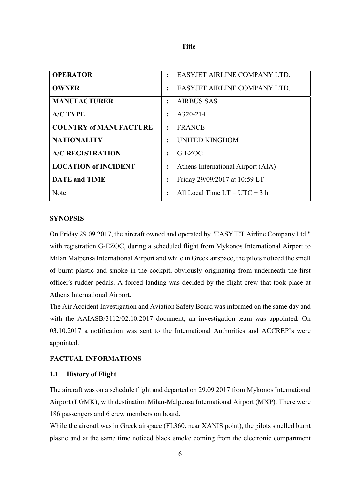| ٠ | ×<br>۰, |
|---|---------|

| <b>OPERATOR</b>               | $\ddot{\cdot}$       | EASYJET AIRLINE COMPANY LTD.       |
|-------------------------------|----------------------|------------------------------------|
| <b>OWNER</b>                  | $\ddot{\cdot}$       | EASYJET AIRLINE COMPANY LTD.       |
| <b>MANUFACTURER</b>           | $\ddot{\cdot}$       | <b>AIRBUS SAS</b>                  |
| <b>A/C TYPE</b>               | $\ddot{\phantom{a}}$ | A320-214                           |
| <b>COUNTRY of MANUFACTURE</b> | $\ddot{\cdot}$       | <b>FRANCE</b>                      |
| <b>NATIONALITY</b>            | $\ddot{\cdot}$       | UNITED KINGDOM                     |
| <b>A/C REGISTRATION</b>       | $\ddot{\cdot}$       | G-EZOC                             |
| <b>LOCATION of INCIDENT</b>   | ፡                    | Athens International Airport (AIA) |
| <b>DATE</b> and <b>TIME</b>   | $\ddot{\cdot}$       | Friday 29/09/2017 at 10:59 LT      |
| <b>Note</b>                   | $\ddot{\cdot}$       | All Local Time $LT = UTC + 3 h$    |

#### **SYNOPSIS**

On Friday 29.09.2017, the aircraft owned and operated by "EASYJET Airline Company Ltd." with registration G-EZOC, during a scheduled flight from Mykonos International Airport to Milan Malpensa International Airport and while in Greek airspace, the pilots noticed the smell of burnt plastic and smoke in the cockpit, obviously originating from underneath the first officer's rudder pedals. A forced landing was decided by the flight crew that took place at Athens International Airport.

The Air Accident Investigation and Aviation Safety Board was informed on the same day and with the AAIASB/3112/02.10.2017 document, an investigation team was appointed. On 03.10.2017 a notification was sent to the International Authorities and ACCREP's were appointed.

#### **FACTUAL INFORMATIONS**

#### **1.1 History of Flight**

The aircraft was on a schedule flight and departed on 29.09.2017 from Mykonos International Airport (LGMK), with destination Milan-Malpensa International Airport (MXP). There were 186 passengers and 6 crew members on board.

While the aircraft was in Greek airspace (FL360, near XANIS point), the pilots smelled burnt plastic and at the same time noticed black smoke coming from the electronic compartment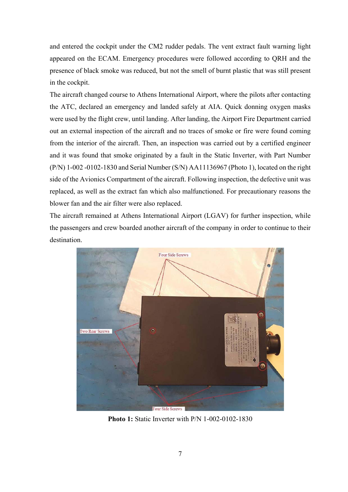and entered the cockpit under the CM2 rudder pedals. The vent extract fault warning light appeared on the ECAM. Emergency procedures were followed according to QRH and the presence of black smoke was reduced, but not the smell of burnt plastic that was still present in the cockpit.

The aircraft changed course to Athens International Airport, where the pilots after contacting the ATC, declared an emergency and landed safely at AIA. Quick donning oxygen masks were used by the flight crew, until landing. After landing, the Airport Fire Department carried out an external inspection of the aircraft and no traces of smoke or fire were found coming from the interior of the aircraft. Then, an inspection was carried out by a certified engineer and it was found that smoke originated by a fault in the Static Inverter, with Part Number (P/N) 1-002 -0102-1830 and Serial Number (S/N) AA11136967 (Photo 1), located on the right side of the Avionics Compartment of the aircraft. Following inspection, the defective unit was replaced, as well as the extract fan which also malfunctioned. For precautionary reasons the blower fan and the air filter were also replaced.

The aircraft remained at Athens International Airport (LGAV) for further inspection, while the passengers and crew boarded another aircraft of the company in order to continue to their destination.



**Photo 1:** Static Inverter with P/N 1-002-0102-1830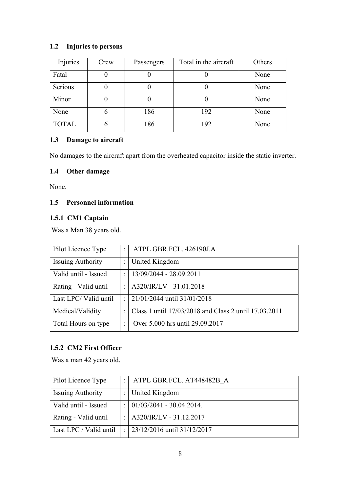## **1.2 Injuries to persons**

| Injuries     | Crew | Passengers | Total in the aircraft | Others |
|--------------|------|------------|-----------------------|--------|
| Fatal        |      |            |                       | None   |
| Serious      |      |            |                       | None   |
| Minor        |      |            |                       | None   |
| None         | 6    | 186        | 192                   | None   |
| <b>TOTAL</b> | 6    | 186        | 192                   | None   |

## **1.3 Damage to aircraft**

No damages to the aircraft apart from the overheated capacitor inside the static inverter.

## **1.4 Other damage**

None.

## **1.5 Personnel information**

## **1.5.1 CM1 Captain**

Was a Man 38 years old.

| Pilot Licence Type       | $\ddot{\cdot}$       | ATPL GBR.FCL. 426190J.A                               |
|--------------------------|----------------------|-------------------------------------------------------|
| <b>Issuing Authority</b> | $\ddot{\cdot}$       | United Kingdom                                        |
| Valid until - Issued     | $\ddot{\cdot}$       | 13/09/2044 - 28.09.2011                               |
| Rating - Valid until     | $\bullet$            | A320/IR/LV - 31.01.2018                               |
| Last LPC/Valid until     | $\ddot{\cdot}$       | 21/01/2044 until 31/01/2018                           |
| Medical/Validity         | ٠                    | Class 1 until 17/03/2018 and Class 2 until 17.03.2011 |
| Total Hours on type      | $\ddot{\phantom{a}}$ | Over 5.000 hrs until 29.09.2017                       |

## **1.5.2 CM2 First Officer**

Was a man 42 years old.

| Pilot Licence Type       | $\bullet$ | ATPL GBR.FCL. AT448482B A       |
|--------------------------|-----------|---------------------------------|
| <b>Issuing Authority</b> |           | United Kingdom                  |
| Valid until - Issued     | $\bullet$ | $ 01/03/2041 - 30.04.2014.$     |
| Rating - Valid until     |           | A320/IR/LV - 31.12.2017         |
| Last LPC / Valid until   | $\bullet$ | $23/12/2016$ until $31/12/2017$ |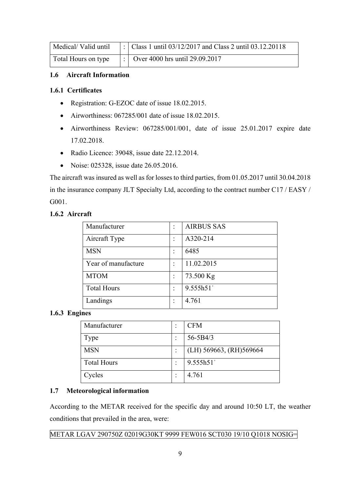|  | Medical/Valid until  : $ $ Class 1 until 03/12/2017 and Class 2 until 03.12.20118 |
|--|-----------------------------------------------------------------------------------|
|  | Total Hours on type       Over 4000 hrs until 29.09.2017                          |

#### **1.6 Aircraft Information**

#### **1.6.1 Certificates**

- Registration: G-EZOC date of issue 18.02.2015.
- $\bullet$  Airworthiness: 067285/001 date of issue 18.02.2015.
- Airworthiness Review: 067285/001/001, date of issue 25.01.2017 expire date 17.02.2018.
- Radio Licence: 39048, issue date 22.12.2014.
- Noise: 025328, issue date 26.05.2016.

The aircraft was insured as well as for losses to third parties, from 01.05.2017 until 30.04.2018 in the insurance company JLT Specialty Ltd, according to the contract number C17 / EASY / G001.

#### **1.6.2 Aircraft**

| Manufacturer        | <b>AIRBUS SAS</b> |
|---------------------|-------------------|
| Aircraft Type       | A320-214          |
| <b>MSN</b>          | 6485              |
| Year of manufacture | 11.02.2015        |
| <b>MTOM</b>         | 73.500 Kg         |
| <b>Total Hours</b>  | 9.555h51          |
| Landings            | 4.761             |

#### **1.6.3 Engines**

| Manufacturer       | <b>CFM</b>               |
|--------------------|--------------------------|
| Type               | $56 - 5B4/3$             |
| <b>MSN</b>         | (LH) 569663, (RH) 569664 |
| <b>Total Hours</b> | 9.555h51                 |
| Cycles             | 4.761                    |

#### **1.7 Meteorological information**

According to the METAR received for the specific day and around 10:50 LT, the weather conditions that prevailed in the area, were:

## METAR LGAV 290750Z 02019G30KT 9999 FEW016 SCT030 19/10 Q1018 NOSIG=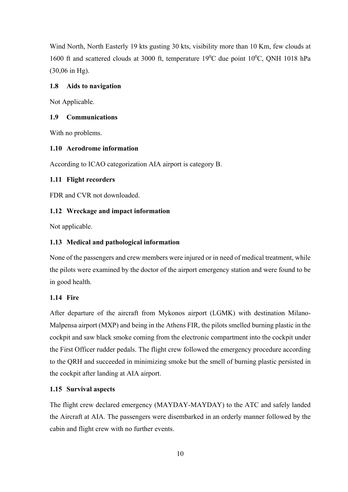Wind North, North Easterly 19 kts gusting 30 kts, visibility more than 10 Km, few clouds at 1600 ft and scattered clouds at 3000 ft, temperature  $19^0C$  due point  $10^0C$ , QNH 1018 hPa (30,06 in Hg).

#### **1.8 Aids to navigation**

Not Applicable.

#### **1.9 Communications**

With no problems.

#### **1.10 Aerodrome information**

According to ICAO categorization AIA airport is category B.

#### **1.11 Flight recorders**

FDR and CVR not downloaded.

#### **1.12 Wreckage and impact information**

Not applicable.

#### **1.13 Medical and pathological information**

None of the passengers and crew members were injured or in need of medical treatment, while the pilots were examined by the doctor of the airport emergency station and were found to be in good health.

#### **1.14 Fire**

After departure of the aircraft from Mykonos airport (LGMK) with destination Milano-Malpensa airport (MXP) and being in the Athens FIR, the pilots smelled burning plastic in the cockpit and saw black smoke coming from the electronic compartment into the cockpit under the First Officer rudder pedals. The flight crew followed the emergency procedure according to the QRH and succeeded in minimizing smoke but the smell of burning plastic persisted in the cockpit after landing at AIA airport.

#### **1.15 Survival aspects**

The flight crew declared emergency (MAYDAY-MAYDAY) to the ATC and safely landed the Aircraft at AIA. The passengers were disembarked in an orderly manner followed by the cabin and flight crew with no further events.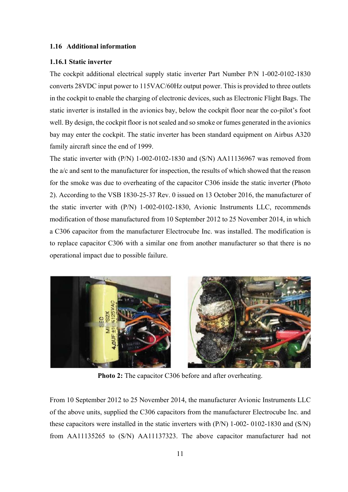#### **1.16 Additional information**

#### **1.16.1 Static inverter**

The cockpit additional electrical supply static inverter Part Number P/N 1-002-0102-1830 converts 28VDC input power to 115VAC/60Hz output power. This is provided to three outlets in the cockpit to enable the charging of electronic devices, such as Electronic Flight Bags. The static inverter is installed in the avionics bay, below the cockpit floor near the co-pilot's foot well. By design, the cockpit floor is not sealed and so smoke or fumes generated in the avionics bay may enter the cockpit. The static inverter has been standard equipment on Airbus A320 family aircraft since the end of 1999.

The static inverter with (P/N) 1-002-0102-1830 and (S/N) AA11136967 was removed from the a/c and sent to the manufacturer for inspection, the results of which showed that the reason for the smoke was due to overheating of the capacitor C306 inside the static inverter (Photo 2). According to the VSB 1830-25-37 Rev. 0 issued on 13 October 2016, the manufacturer of the static inverter with (P/N) 1-002-0102-1830, Avionic Instruments LLC, recommends modification of those manufactured from 10 September 2012 to 25 November 2014, in which a C306 capacitor from the manufacturer Electrocube Inc. was installed. The modification is to replace capacitor C306 with a similar one from another manufacturer so that there is no operational impact due to possible failure.



**Photo 2:** The capacitor C306 before and after overheating.

From 10 September 2012 to 25 November 2014, the manufacturer Avionic Instruments LLC of the above units, supplied the C306 capacitors from the manufacturer Electrocube Inc. and these capacitors were installed in the static inverters with (P/N) 1-002- 0102-1830 and (S/N) from AA11135265 to (S/N) AA11137323. The above capacitor manufacturer had not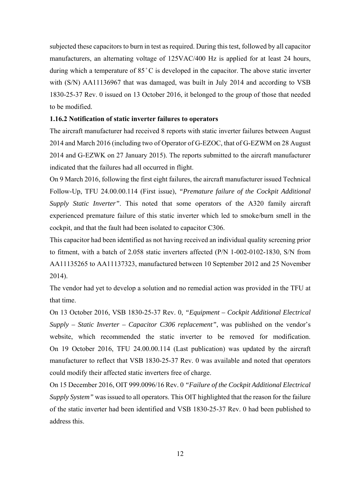subjected these capacitors to burn in test as required. During this test, followed by all capacitor manufacturers, an alternating voltage of 125VAC/400 Hz is applied for at least 24 hours, during which a temperature of  $85^{\circ}$ C is developed in the capacitor. The above static inverter with (S/N) AA11136967 that was damaged, was built in July 2014 and according to VSB 1830-25-37 Rev. 0 issued on 13 October 2016, it belonged to the group of those that needed to be modified.

#### **1.16.2 Notification of static inverter failures to operators**

The aircraft manufacturer had received 8 reports with static inverter failures between August 2014 and March 2016 (including two of Operator of G-EZOC, that of G-EZWM on 28 August 2014 and G-EZWK on 27 January 2015). The reports submitted to the aircraft manufacturer indicated that the failures had all occurred in flight.

On 9 March 2016, following the first eight failures, the aircraft manufacturer issued Technical Follow-Up, TFU 24.00.00.114 (First issue), *"Premature failure of the Cockpit Additional Supply Static Inverter"*. This noted that some operators of the A320 family aircraft experienced premature failure of this static inverter which led to smoke/burn smell in the cockpit, and that the fault had been isolated to capacitor C306.

This capacitor had been identified as not having received an individual quality screening prior to fitment, with a batch of 2.058 static inverters affected (P/N 1-002-0102-1830, S/N from AA11135265 to AA11137323, manufactured between 10 September 2012 and 25 November 2014).

The vendor had yet to develop a solution and no remedial action was provided in the TFU at that time.

On 13 October 2016, VSB 1830-25-37 Rev. 0, *"Equipment – Cockpit Additional Electrical Supply – Static Inverter – Capacitor C306 replacement"*, was published on the vendor's website, which recommended the static inverter to be removed for modification. On 19 October 2016, TFU 24.00.00.114 (Last publication) was updated by the aircraft manufacturer to reflect that VSB 1830‑25-37 Rev. 0 was available and noted that operators could modify their affected static inverters free of charge.

On 15 December 2016, OIT 999.0096/16 Rev. 0 *"Failure of the Cockpit Additional Electrical Supply System"* was issued to all operators. This OIT highlighted that the reason for the failure of the static inverter had been identified and VSB 1830-25-37 Rev. 0 had been published to address this.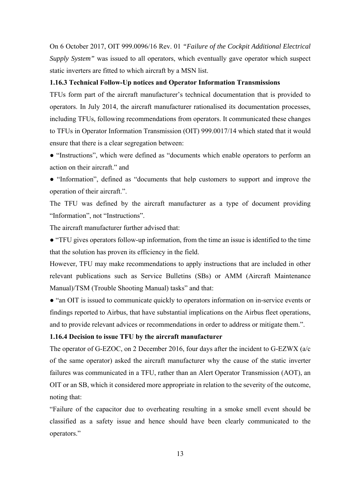On 6 October 2017, OIT 999.0096/16 Rev. 01 *"Failure of the Cockpit Additional Electrical Supply System"* was issued to all operators, which eventually gave operator which suspect static inverters are fitted to which aircraft by a MSN list.

#### **1.16.3 Technical Follow-Up notices and Operator Information Transmissions**

TFUs form part of the aircraft manufacturer's technical documentation that is provided to operators. In July 2014, the aircraft manufacturer rationalised its documentation processes, including TFUs, following recommendations from operators. It communicated these changes to TFUs in Operator Information Transmission (OIT) 999.0017/14 which stated that it would ensure that there is a clear segregation between:

● "Instructions", which were defined as "documents which enable operators to perform an action on their aircraft." and

● "Information", defined as "documents that help customers to support and improve the operation of their aircraft.".

The TFU was defined by the aircraft manufacturer as a type of document providing "Information", not "Instructions".

The aircraft manufacturer further advised that:

● "TFU gives operators follow-up information, from the time an issue is identified to the time that the solution has proven its efficiency in the field.

However, TFU may make recommendations to apply instructions that are included in other relevant publications such as Service Bulletins (SBs) or AMM (Aircraft Maintenance Manual)/TSM (Trouble Shooting Manual) tasks" and that:

• "an OIT is issued to communicate quickly to operators information on in-service events or findings reported to Airbus, that have substantial implications on the Airbus fleet operations, and to provide relevant advices or recommendations in order to address or mitigate them.".

#### **1.16.4 Decision to issue TFU by the aircraft manufacturer**

The operator of G-EZOC, on 2 December 2016, four days after the incident to G-EZWX (a/c of the same operator) asked the aircraft manufacturer why the cause of the static inverter failures was communicated in a TFU, rather than an Alert Operator Transmission (AOT), an OIT or an SB, which it considered more appropriate in relation to the severity of the outcome, noting that:

"Failure of the capacitor due to overheating resulting in a smoke smell event should be classified as a safety issue and hence should have been clearly communicated to the operators."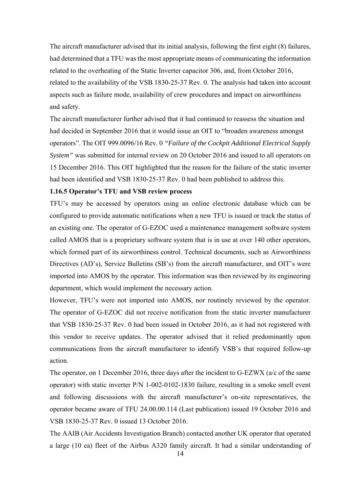The aircraft manufacturer advised that its initial analysis, following the first eight (8) failures, had determined that a TFU was the most appropriate means of communicating the information related to the overheating of the Static Inverter capacitor 306, and, from October 2016, related to the availability of the VSB 1830-25-37 Rev. 0. The analysis had taken into account aspects such as failure mode, availability of crew procedures and impact on airworthiness and safety.

The aircraft manufacturer further advised that it had continued to reassess the situation and had decided in September 2016 that it would issue an OIT to "broaden awareness amongst operators". The OIT 999.0096/16 Rev. 0 *"Failure of the Cockpit Additional Electrical Supply System"* was submitted for internal review on 20 October 2016 and issued to all operators on 15 December 2016. This OIT highlighted that the reason for the failure of the static inverter had been identified and VSB 1830-25-37 Rev. 0 had been published to address this.

#### **1.16.5 Operator's TFU and VSB review process**

TFU's may be accessed by operators using an online electronic database which can be configured to provide automatic notifications when a new TFU is issued or track the status of an existing one. The operator of G-EZOC used a maintenance management software system called AMOS that is a proprietary software system that is in use at over 140 other operators, which formed part of its airworthiness control. Technical documents, such as Airworthiness Directives (AD's), Service Bulletins (SB's) from the aircraft manufacturer, and OIT's were imported into AMOS by the operator. This information was then reviewed by its engineering department, which would implement the necessary action.

However, TFU's were not imported into AMOS, nor routinely reviewed by the operator. The operator of G-EZOC did not receive notification from the static inverter manufacturer that VSB 1830-25-37 Rev. 0 had been issued in October 2016, as it had not registered with this vendor to receive updates. The operator advised that it relied predominantly upon communications from the aircraft manufacturer to identify VSB's that required follow-up action.

The operator, on 1 December 2016, three days after the incident to G-EZWX (a/c of the same operator) with static inverter P/N 1-002-0102-1830 failure, resulting in a smoke smell event and following discussions with the aircraft manufacturer's on-site representatives, the operator became aware of TFU 24.00.00.114 (Last publication) issued 19 October 2016 and VSB 1830-25-37 Rev. 0 issued 13 October 2016.

The AAIB (Air Accidents Investigation Branch) contacted another UK operator that operated a large (10 ea) fleet of the Airbus A320 family aircraft. It had a similar understanding of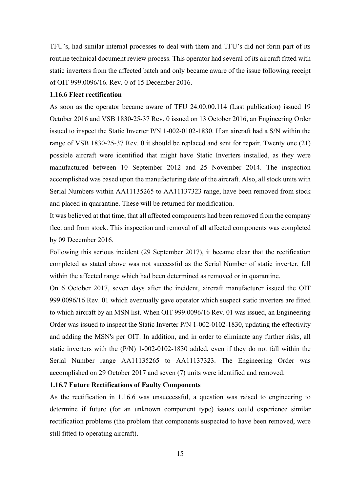TFU's, had similar internal processes to deal with them and TFU's did not form part of its routine technical document review process. This operator had several of its aircraft fitted with static inverters from the affected batch and only became aware of the issue following receipt of OIT 999.0096/16. Rev. 0 of 15 December 2016.

#### **1.16.6 Fleet rectification**

As soon as the operator became aware of TFU 24.00.00.114 (Last publication) issued 19 October 2016 and VSB 1830-25-37 Rev. 0 issued on 13 October 2016, an Engineering Order issued to inspect the Static Inverter P/N 1-002-0102-1830. If an aircraft had a S/N within the range of VSB 1830-25-37 Rev. 0 it should be replaced and sent for repair. Twenty one (21) possible aircraft were identified that might have Static Inverters installed, as they were manufactured between 10 September 2012 and 25 November 2014. The inspection accomplished was based upon the manufacturing date of the aircraft. Also, all stock units with Serial Numbers within AA11135265 to AA11137323 range, have been removed from stock and placed in quarantine. These will be returned for modification.

It was believed at that time, that all affected components had been removed from the company fleet and from stock. This inspection and removal of all affected components was completed by 09 December 2016.

Following this serious incident (29 September 2017), it became clear that the rectification completed as stated above was not successful as the Serial Number of static inverter, fell within the affected range which had been determined as removed or in quarantine.

On 6 October 2017, seven days after the incident, aircraft manufacturer issued the OIT 999.0096/16 Rev. 01 which eventually gave operator which suspect static inverters are fitted to which aircraft by an MSN list. When OIT 999.0096/16 Rev. 01 was issued, an Engineering Order was issued to inspect the Static Inverter P/N 1-002-0102-1830, updating the effectivity and adding the MSN's per OIT. In addition, and in order to eliminate any further risks, all static inverters with the (P/N) 1-002-0102-1830 added, even if they do not fall within the Serial Number range AA11135265 to AA11137323. The Engineering Order was accomplished on 29 October 2017 and seven (7) units were identified and removed.

#### **1.16.7 Future Rectifications of Faulty Components**

As the rectification in 1.16.6 was unsuccessful, a question was raised to engineering to determine if future (for an unknown component type) issues could experience similar rectification problems (the problem that components suspected to have been removed, were still fitted to operating aircraft).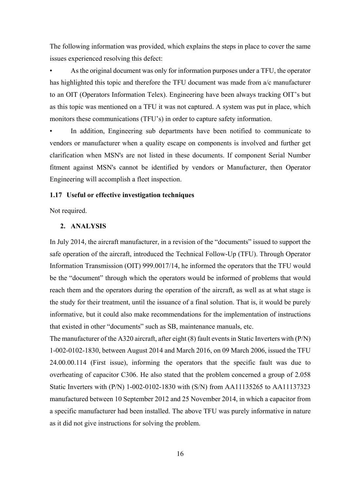The following information was provided, which explains the steps in place to cover the same issues experienced resolving this defect:

As the original document was only for information purposes under a TFU, the operator has highlighted this topic and therefore the TFU document was made from a/c manufacturer to an OIT (Operators Information Telex). Engineering have been always tracking OIT's but as this topic was mentioned on a TFU it was not captured. A system was put in place, which monitors these communications (TFU's) in order to capture safety information.

In addition, Engineering sub departments have been notified to communicate to vendors or manufacturer when a quality escape on components is involved and further get clarification when MSN's are not listed in these documents. If component Serial Number fitment against MSN's cannot be identified by vendors or Manufacturer, then Operator Engineering will accomplish a fleet inspection.

#### **1.17 Useful or effective investigation techniques**

Not required.

#### **2. ANALYSIS**

In July 2014, the aircraft manufacturer, in a revision of the "documents" issued to support the safe operation of the aircraft, introduced the Technical Follow-Up (TFU). Through Operator Information Transmission (OIT) 999.0017/14, he informed the operators that the TFU would be the "document" through which the operators would be informed of problems that would reach them and the operators during the operation of the aircraft, as well as at what stage is the study for their treatment, until the issuance of a final solution. That is, it would be purely informative, but it could also make recommendations for the implementation of instructions that existed in other "documents" such as SB, maintenance manuals, etc.

The manufacturer of the A320 aircraft, after eight (8) fault events in Static Inverters with (P/N) 1-002-0102-1830, between August 2014 and March 2016, on 09 March 2006, issued the TFU 24.00.00.114 (First issue), informing the operators that the specific fault was due to overheating of capacitor C306. He also stated that the problem concerned a group of 2.058 Static Inverters with (P/N) 1-002-0102-1830 with (S/N) from AA11135265 to AA11137323 manufactured between 10 September 2012 and 25 November 2014, in which a capacitor from a specific manufacturer had been installed. The above TFU was purely informative in nature as it did not give instructions for solving the problem.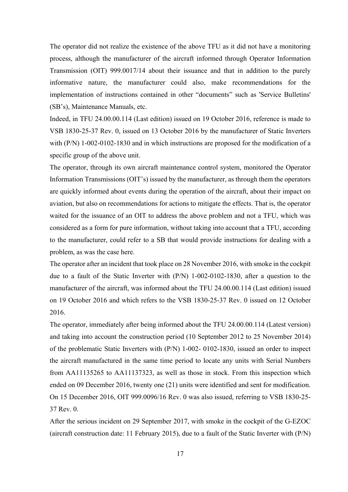The operator did not realize the existence of the above TFU as it did not have a monitoring process, although the manufacturer of the aircraft informed through Operator Information Transmission (OIT) 999.0017/14 about their issuance and that in addition to the purely informative nature, the manufacturer could also, make recommendations for the implementation of instructions contained in other "documents" such as 'Service Bulletins' (SB's), Maintenance Manuals, etc.

Indeed, in TFU 24.00.00.114 (Last edition) issued on 19 October 2016, reference is made to VSB 1830-25-37 Rev. 0, issued on 13 October 2016 by the manufacturer of Static Inverters with (P/N) 1-002-0102-1830 and in which instructions are proposed for the modification of a specific group of the above unit.

The operator, through its own aircraft maintenance control system, monitored the Operator Information Transmissions (OIT's) issued by the manufacturer, as through them the operators are quickly informed about events during the operation of the aircraft, about their impact on aviation, but also on recommendations for actions to mitigate the effects. That is, the operator waited for the issuance of an OIT to address the above problem and not a TFU, which was considered as a form for pure information, without taking into account that a TFU, according to the manufacturer, could refer to a SB that would provide instructions for dealing with a problem, as was the case here.

The operator after an incident that took place on 28 November 2016, with smoke in the cockpit due to a fault of the Static Inverter with (P/N) 1-002-0102-1830, after a question to the manufacturer of the aircraft, was informed about the TFU 24.00.00.114 (Last edition) issued on 19 October 2016 and which refers to the VSB 1830-25-37 Rev. 0 issued on 12 October 2016.

The operator, immediately after being informed about the TFU 24.00.00.114 (Latest version) and taking into account the construction period (10 September 2012 to 25 November 2014) of the problematic Static Inverters with (P/N) 1-002- 0102-1830, issued an order to inspect the aircraft manufactured in the same time period to locate any units with Serial Numbers from AA11135265 to AA11137323, as well as those in stock. From this inspection which ended on 09 December 2016, twenty one (21) units were identified and sent for modification. On 15 December 2016, OIT 999.0096/16 Rev. 0 was also issued, referring to VSB 1830-25- 37 Rev. 0.

After the serious incident on 29 September 2017, with smoke in the cockpit of the G-EZOC (aircraft construction date: 11 February 2015), due to a fault of the Static Inverter with (P/N)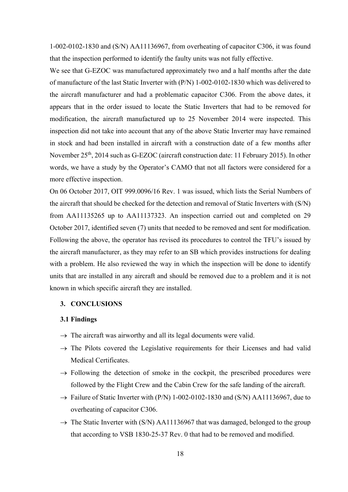1-002-0102-1830 and (S/N) AA11136967, from overheating of capacitor C306, it was found that the inspection performed to identify the faulty units was not fully effective.

We see that G-EZOC was manufactured approximately two and a half months after the date of manufacture of the last Static Inverter with (P/N) 1-002-0102-1830 which was delivered to the aircraft manufacturer and had a problematic capacitor C306. From the above dates, it appears that in the order issued to locate the Static Inverters that had to be removed for modification, the aircraft manufactured up to 25 November 2014 were inspected. This inspection did not take into account that any of the above Static Inverter may have remained in stock and had been installed in aircraft with a construction date of a few months after November 25<sup>th</sup>, 2014 such as G-EZOC (aircraft construction date: 11 February 2015). In other words, we have a study by the Operator's CAMO that not all factors were considered for a more effective inspection.

On 06 October 2017, OIT 999.0096/16 Rev. 1 was issued, which lists the Serial Numbers of the aircraft that should be checked for the detection and removal of Static Inverters with (S/N) from AA11135265 up to AA11137323. An inspection carried out and completed on 29 October 2017, identified seven (7) units that needed to be removed and sent for modification. Following the above, the operator has revised its procedures to control the TFU's issued by the aircraft manufacturer, as they may refer to an SB which provides instructions for dealing with a problem. He also reviewed the way in which the inspection will be done to identify units that are installed in any aircraft and should be removed due to a problem and it is not known in which specific aircraft they are installed.

#### **3. CONCLUSIONS**

#### **3.1 Findings**

- $\rightarrow$  The aircraft was airworthy and all its legal documents were valid.
- $\rightarrow$  The Pilots covered the Legislative requirements for their Licenses and had valid Medical Certificates.
- $\rightarrow$  Following the detection of smoke in the cockpit, the prescribed procedures were followed by the Flight Crew and the Cabin Crew for the safe landing of the aircraft.
- $\rightarrow$  Failure of Static Inverter with (P/N) 1-002-0102-1830 and (S/N) AA11136967, due to overheating of capacitor C306.
- $\rightarrow$  The Static Inverter with (S/N) AA11136967 that was damaged, belonged to the group that according to VSB 1830-25-37 Rev. 0 that had to be removed and modified.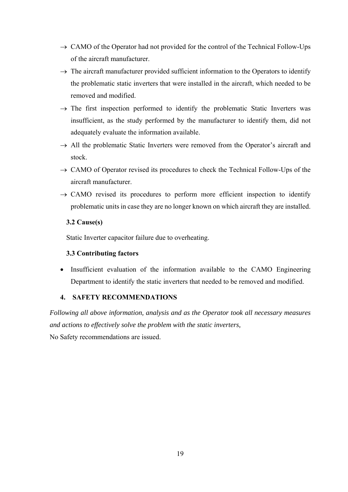- $\rightarrow$  CAMO of the Operator had not provided for the control of the Technical Follow-Ups of the aircraft manufacturer.
- $\rightarrow$  The aircraft manufacturer provided sufficient information to the Operators to identify the problematic static inverters that were installed in the aircraft, which needed to be removed and modified.
- $\rightarrow$  The first inspection performed to identify the problematic Static Inverters was insufficient, as the study performed by the manufacturer to identify them, did not adequately evaluate the information available.
- $\rightarrow$  All the problematic Static Inverters were removed from the Operator's aircraft and stock.
- $\rightarrow$  CAMO of Operator revised its procedures to check the Technical Follow-Ups of the aircraft manufacturer.
- $\rightarrow$  CAMO revised its procedures to perform more efficient inspection to identify problematic units in case they are no longer known on which aircraft they are installed.

#### **3.2 Cause(s)**

Static Inverter capacitor failure due to overheating.

## **3.3 Contributing factors**

• Insufficient evaluation of the information available to the CAMO Engineering Department to identify the static inverters that needed to be removed and modified.

## **4. SAFETY RECOMMENDATIONS**

*Following all above information, analysis and as the Operator took all necessary measures and actions to effectively solve the problem with the static inverters,*  No Safety recommendations are issued.